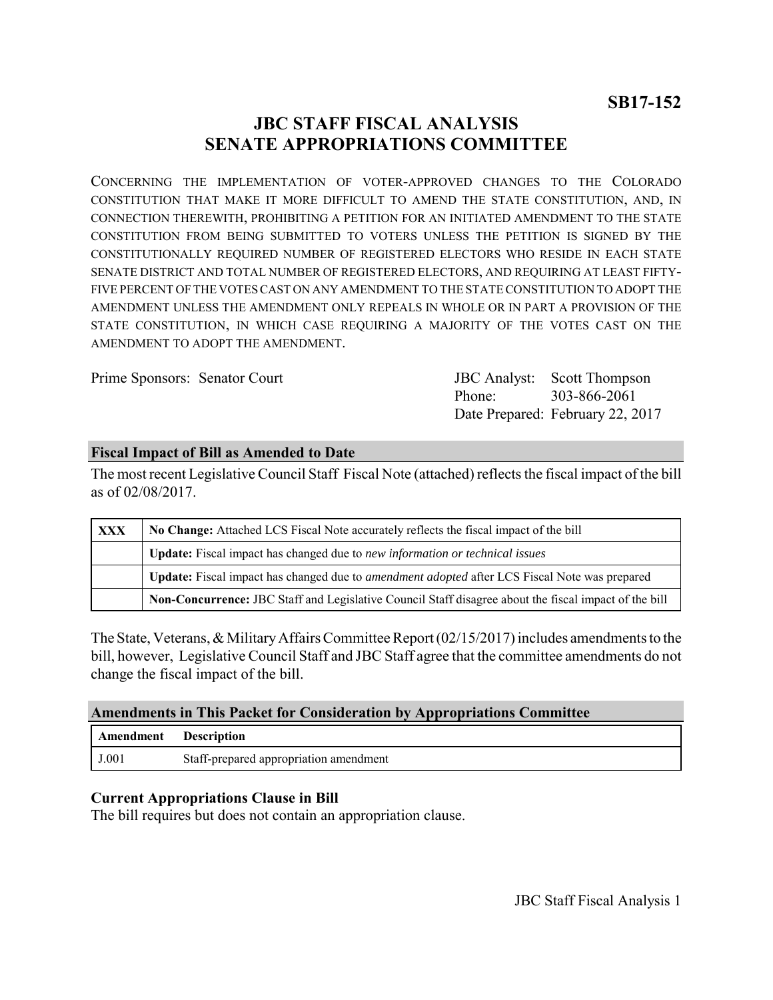# **JBC STAFF FISCAL ANALYSIS SENATE APPROPRIATIONS COMMITTEE**

CONCERNING THE IMPLEMENTATION OF VOTER-APPROVED CHANGES TO THE COLORADO CONSTITUTION THAT MAKE IT MORE DIFFICULT TO AMEND THE STATE CONSTITUTION, AND, IN CONNECTION THEREWITH, PROHIBITING A PETITION FOR AN INITIATED AMENDMENT TO THE STATE CONSTITUTION FROM BEING SUBMITTED TO VOTERS UNLESS THE PETITION IS SIGNED BY THE CONSTITUTIONALLY REQUIRED NUMBER OF REGISTERED ELECTORS WHO RESIDE IN EACH STATE SENATE DISTRICT AND TOTAL NUMBER OF REGISTERED ELECTORS, AND REQUIRING AT LEAST FIFTY-FIVE PERCENT OF THE VOTES CAST ON ANY AMENDMENT TO THE STATE CONSTITUTION TO ADOPT THE AMENDMENT UNLESS THE AMENDMENT ONLY REPEALS IN WHOLE OR IN PART A PROVISION OF THE STATE CONSTITUTION, IN WHICH CASE REQUIRING A MAJORITY OF THE VOTES CAST ON THE AMENDMENT TO ADOPT THE AMENDMENT.

Prime Sponsors: Senator Court

Phone: Date Prepared: February 22, 2017 **JBC** Analyst: Scott Thompson 303-866-2061

### **Fiscal Impact of Bill as Amended to Date**

The most recent Legislative Council Staff Fiscal Note (attached) reflects the fiscal impact of the bill as of 02/08/2017.

| <b>XXX</b> | No Change: Attached LCS Fiscal Note accurately reflects the fiscal impact of the bill                       |
|------------|-------------------------------------------------------------------------------------------------------------|
|            | <b>Update:</b> Fiscal impact has changed due to new information or technical issues                         |
|            | <b>Update:</b> Fiscal impact has changed due to <i>amendment adopted</i> after LCS Fiscal Note was prepared |
|            | Non-Concurrence: JBC Staff and Legislative Council Staff disagree about the fiscal impact of the bill       |

The State, Veterans, & Military Affairs Committee Report (02/15/2017) includes amendments to the bill, however, Legislative Council Staff and JBC Staff agree that the committee amendments do not change the fiscal impact of the bill.

### **Amendments in This Packet for Consideration by Appropriations Committee**

| Amendment Description |                                        |
|-----------------------|----------------------------------------|
| J.001                 | Staff-prepared appropriation amendment |

## **Current Appropriations Clause in Bill**

The bill requires but does not contain an appropriation clause.